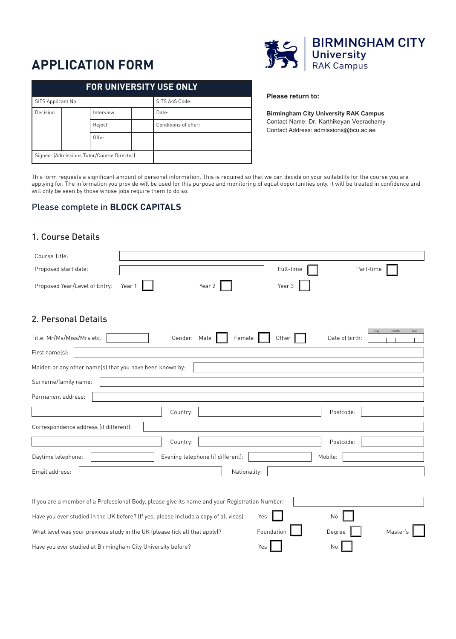# **APPLICATION FORM**

| <b>FOR UNIVERSITY USE ONLY</b> |  |                                            |  |                      |  |
|--------------------------------|--|--------------------------------------------|--|----------------------|--|
| SITS Applicant No.             |  |                                            |  | SITS AoS Code:       |  |
| Decision                       |  | Interview                                  |  | Date:                |  |
|                                |  | Reject                                     |  | Conditions of offer: |  |
|                                |  | Offer                                      |  |                      |  |
|                                |  | Signed: (Admissions Tutor/Course Director) |  |                      |  |



#### **Please return to:**

**Birmingham City University RAK Campus** Contact Name: Dr. Karthikeyan Veerachamy Contact Address: admissions@bcu.ac.ae

This form requests a significant amount of personal information. This is required so that we can decide on your suitability for the course you are applying for. The information you provide will be used for this purpose and monitoring of equal opportunities only. It will be treated in conidence and will only be seen by those whose jobs require them to do so.

## Please complete in **BLOCK CAPITALS**

## 1. Course Details

| Course Title:                                                                                  |        |              |                                   |            |         |                |               |
|------------------------------------------------------------------------------------------------|--------|--------------|-----------------------------------|------------|---------|----------------|---------------|
| Proposed start date:                                                                           |        |              |                                   | Full-time  |         | Part-time      |               |
| Proposed Year/Level of Entry:                                                                  | Year 1 |              | Year 2                            | Year 3     |         |                |               |
| 2. Personal Details                                                                            |        |              |                                   |            |         |                |               |
| Title: Mr/Ms/Miss/Mrs etc.                                                                     |        | Gender: Male | Female                            | Other      |         | Date of birth: | Month<br>Year |
| First name(s):                                                                                 |        |              |                                   |            |         |                |               |
| Maiden or any other name(s) that you have been known by:                                       |        |              |                                   |            |         |                |               |
| Surname/family name:                                                                           |        |              |                                   |            |         |                |               |
| Permanent address:                                                                             |        |              |                                   |            |         |                |               |
|                                                                                                |        | Country:     |                                   |            |         | Postcode:      |               |
| Correspondence address (if different):                                                         |        |              |                                   |            |         |                |               |
|                                                                                                |        | Country:     |                                   |            |         | Postcode:      |               |
| Daytime telephone:                                                                             |        |              | Evening telephone (if different): |            | Mobile: |                |               |
| Email address:                                                                                 |        |              | Nationality:                      |            |         |                |               |
|                                                                                                |        |              |                                   |            |         |                |               |
| If you are a member of a Professional Body, please give its name and your Registration Number: |        |              |                                   |            |         |                |               |
| Have you ever studied in the UK before? (If yes, please include a copy of all visas)           |        |              |                                   | Yes        | No      |                |               |
| What level was your previous study in the UK (please tick all that apply)?                     |        |              |                                   | Foundation |         | Degree         | Master's      |
| Have you ever studied at Birmingham City University before?                                    |        |              |                                   | Yes        | No      |                |               |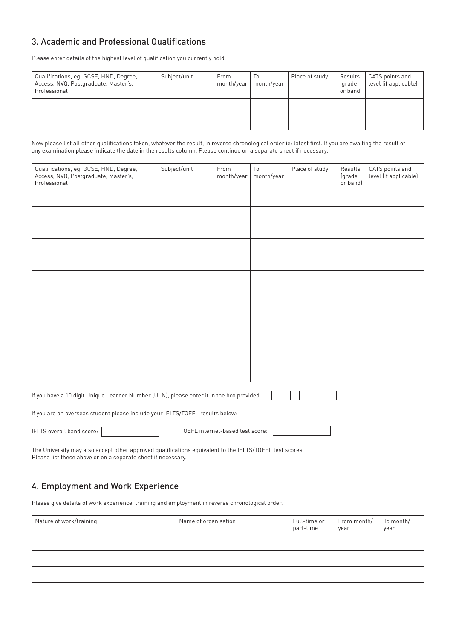# 3. Academic and Professional Qualifications

Please enter details of the highest level of qualification you currently hold.

| Qualifications, eq: GCSE, HND, Degree,<br>Access, NVQ, Postgraduate, Master's,<br>Professional | Subject/unit | From<br>month/year | $\overline{0}$<br>month/year | Place of study | Results<br>(grade<br>or band) | CATS points and<br>level (if applicable) |
|------------------------------------------------------------------------------------------------|--------------|--------------------|------------------------------|----------------|-------------------------------|------------------------------------------|
|                                                                                                |              |                    |                              |                |                               |                                          |
|                                                                                                |              |                    |                              |                |                               |                                          |

Now please list all other qualifications taken, whatever the result, in reverse chronological order ie: latest first. If you are awaiting the result of any examination please indicate the date in the results column. Please continue on a separate sheet if necessary.

| Qualifications, eg: GCSE, HND, Degree,<br>Access, NVQ, Postgraduate, Master's,<br>Professional | Subject/unit | From<br>month/year | $\mathsf{To}$<br>month/year | Place of study | Results<br>(grade<br>or band) | CATS points and<br>level (if applicable) |
|------------------------------------------------------------------------------------------------|--------------|--------------------|-----------------------------|----------------|-------------------------------|------------------------------------------|
|                                                                                                |              |                    |                             |                |                               |                                          |
|                                                                                                |              |                    |                             |                |                               |                                          |
|                                                                                                |              |                    |                             |                |                               |                                          |
|                                                                                                |              |                    |                             |                |                               |                                          |
|                                                                                                |              |                    |                             |                |                               |                                          |
|                                                                                                |              |                    |                             |                |                               |                                          |
|                                                                                                |              |                    |                             |                |                               |                                          |
|                                                                                                |              |                    |                             |                |                               |                                          |
|                                                                                                |              |                    |                             |                |                               |                                          |
|                                                                                                |              |                    |                             |                |                               |                                          |
|                                                                                                |              |                    |                             |                |                               |                                          |
|                                                                                                |              |                    |                             |                |                               |                                          |

If you have a 10 digit Unique Learner Number (ULN), please enter it in the box provided.

If you are an overseas student please include your IELTS/TOEFL results below:

IELTS overall band score: TOEFL internet-based test score:

The University may also accept other approved qualifications equivalent to the IELTS/TOEFL test scores. Please list these above or on a separate sheet if necessary.

## 4. Employment and Work Experience

Please give details of work experience, training and employment in reverse chronological order.

| Nature of work/training | Name of organisation | Full-time or<br>part-time | From month/<br>year | To month/<br>year |
|-------------------------|----------------------|---------------------------|---------------------|-------------------|
|                         |                      |                           |                     |                   |
|                         |                      |                           |                     |                   |
|                         |                      |                           |                     |                   |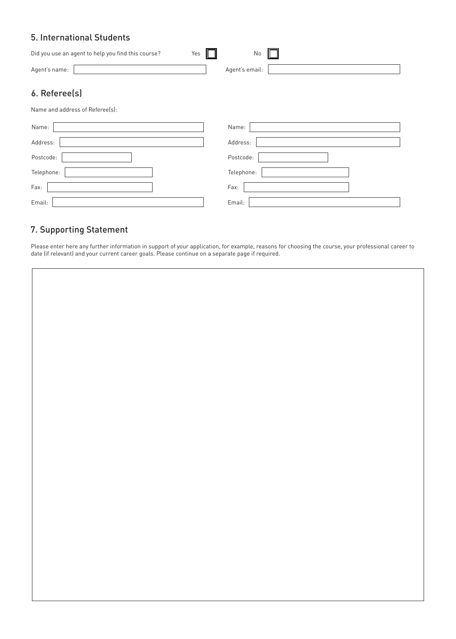## 5. International Students

| Did you use an agent to help you find this course?<br>Yes | No             |
|-----------------------------------------------------------|----------------|
| Agent's name:                                             | Agent's email: |
| 6. Referee(s)                                             |                |
| Name and address of Referee(s):                           |                |
| Name:                                                     | Name:          |
| Address:                                                  | Address:       |
| Postcode:                                                 | Postcode:      |
| Telephone:                                                | Telephone:     |
| Fax:                                                      | Fax:           |
| Email:                                                    | Email:         |

# 7. Supporting Statement

Please enter here any further information in support of your application, for example, reasons for choosing the course, your professional career to date (if relevant) and your current career goals. Please continue on a separate page if required.

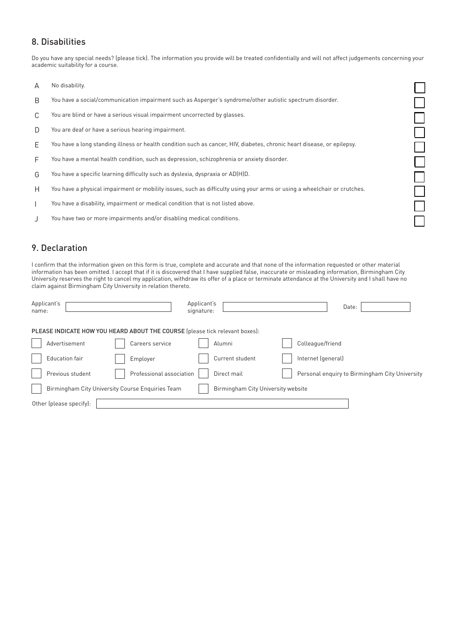## 8. Disabilities

Do you have any special needs? (please tick). The information you provide will be treated confidentially and will not affect judgements concerning your academic suitability for a course.

 $\Box$ 

10<br>00<br>0

 $\bar{\Box}$ 

- A No disability.
- B You have a social/communication impairment such as Asperger's syndrome/other autistic spectrum disorder.
- C You are blind or have a serious visual impairment uncorrected by glasses.
- D You are deaf or have a serious hearing impairment.
- E You have a long standing illness or health condition such as cancer, HIV, diabetes, chronic heart disease, or epilepsy.
- F You have a mental health condition, such as depression, schizophrenia or anxiety disorder.
- G You have a speciic learning dificulty such as dyslexia, dyspraxia or AD(H)D.
- H You have a physical impairment or mobility issues, such as dificulty using your arms or using a wheelchair or crutches.
- I You have a disability, impairment or medical condition that is not listed above.
- J You have two or more impairments and/or disabling medical conditions.

## 9. Declaration

I confirm that the information given on this form is true, complete and accurate and that none of the information requested or other material information has been omitted. I accept that if it is discovered that I have supplied false, inaccurate or misleading information, Birmingham City University reserves the right to cancel my application, withdraw its offer of a place or terminate attendance at the University and I shall have no claim against Birmingham City University in relation thereto.

| Applicant's<br>name:    |                                                                              | Applicant's<br>signature:          | Date:                                          |  |
|-------------------------|------------------------------------------------------------------------------|------------------------------------|------------------------------------------------|--|
|                         | PLEASE INDICATE HOW YOU HEARD ABOUT THE COURSE (please tick relevant boxes): |                                    |                                                |  |
| Advertisement           | Careers service                                                              | Alumni                             | Colleague/friend                               |  |
| Education fair          | Employer                                                                     | Current student                    | Internet (general)                             |  |
| Previous student        | Professional association                                                     | Direct mail                        | Personal enquiry to Birmingham City University |  |
|                         | Birmingham City University Course Enquiries Team                             | Birmingham City University website |                                                |  |
| Other (please specify): |                                                                              |                                    |                                                |  |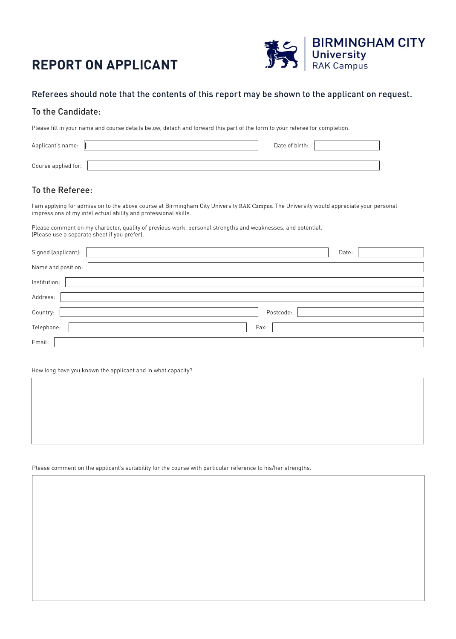# **REPORT ON APPLICANT**



## Referees should note that the contents of this report may be shown to the applicant on request.

## To the Candidate:

Please fill in your name and course details below, detach and forward this part of the form to your referee for completion.

| Applicant's name:   | Date of birth: |  |
|---------------------|----------------|--|
|                     |                |  |
| Course applied for: |                |  |

## To the Referee:

I am applying for admission to the above course at Birmingham City University RAK Campus. The University would appreciate your personal impressions of my intellectual ability and professional skills.

Please comment on my character, quality of previous work, personal strengths and weaknesses, and potential. (Please use a separate sheet if you prefer).

| Signed (applicant): | Date:     |
|---------------------|-----------|
| Name and position:  |           |
| Institution:        |           |
| Address:            |           |
| Country:            | Postcode: |
| Telephone:          | Fax:      |
| Email:              |           |

How long have you known the applicant and in what capacity?

Please comment on the applicant's suitability for the course with particular reference to his/her strengths.